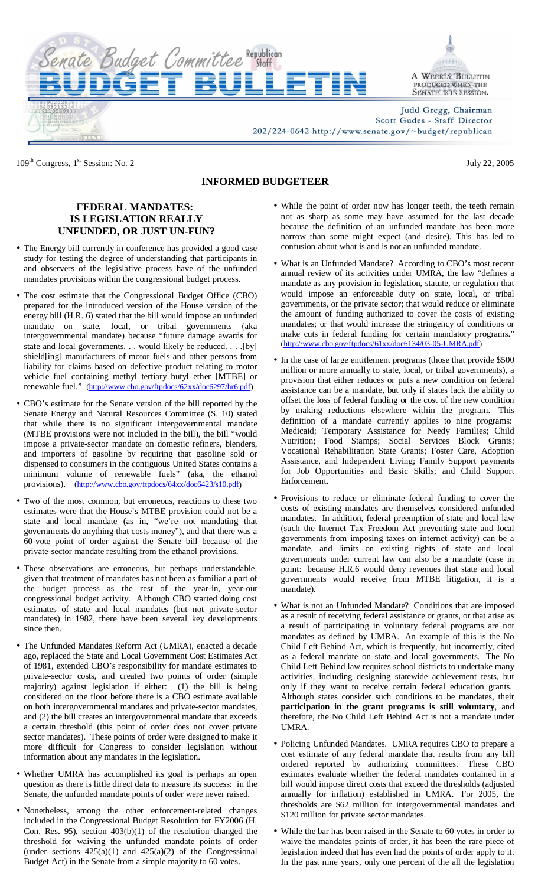

109<sup>th</sup> Congress, 1<sup>st</sup> Session: No. 2 July 22, 2005

## **INFORMED BUDGETEER**

## **FEDERAL MANDATES: IS LEGISLATION REALLY UNFUNDED, OR JUST UN-FUN?**

- The Energy bill currently in conference has provided a good case study for testing the degree of understanding that participants in and observers of the legislative process have of the unfunded mandates provisions within the congressional budget process.
- The cost estimate that the Congressional Budget Office (CBO) prepared for the introduced version of the House version of the energy bill (H.R. 6) stated that the bill would impose an unfunded mandate on state, local, or tribal governments (aka intergovernmental mandate) because "future damage awards for state and local governments. . . would likely be reduced. . . .[by] shield[ing] manufacturers of motor fuels and other persons from liability for claims based on defective product relating to motor vehicle fuel containing methyl tertiary butyl ether [MTBE] or renewable fuel." (http://www.cbo.gov/ftpdocs/62xx/doc6297/hr6.pdf)
- CBO's estimate for the Senate version of the bill reported by the Senate Energy and Natural Resources Committee (S. 10) stated that while there is no significant intergovernmental mandate (MTBE provisions were not included in the bill), the bill "would impose a private-sector mandate on domestic refiners, blenders, and importers of gasoline by requiring that gasoline sold or dispensed to consumers in the contiguous United States contains a minimum volume of renewable fuels" (aka, the ethanol provisions). (http://www.cbo.gov/ftpdocs/64xx/doc6423/s10.pdf)
- Two of the most common, but erroneous, reactions to these two estimates were that the House's MTBE provision could not be a state and local mandate (as in, "we're not mandating that governments do anything that costs money"), and that there was a 60-vote point of order against the Senate bill because of the private-sector mandate resulting from the ethanol provisions.
- These observations are erroneous, but perhaps understandable, given that treatment of mandates has not been as familiar a part of the budget process as the rest of the year-in, year-out congressional budget activity. Although CBO started doing cost estimates of state and local mandates (but not private-sector mandates) in 1982, there have been several key developments since then.
- The Unfunded Mandates Reform Act (UMRA), enacted a decade ago, replaced the State and Local Government Cost Estimates Act of 1981, extended CBO's responsibility for mandate estimates to private-sector costs, and created two points of order (simple majority) against legislation if either: (1) the bill is being considered on the floor before there is a CBO estimate available on both intergovernmental mandates and private-sector mandates, and (2) the bill creates an intergovernmental mandate that exceeds a certain threshold (this point of order does not cover private sector mandates). These points of order were designed to make it more difficult for Congress to consider legislation without information about any mandates in the legislation.
- Whether UMRA has accomplished its goal is perhaps an open question as there is little direct data to measure its success: in the Senate, the unfunded mandate points of order were never raised.
- Nonetheless, among the other enforcement-related changes included in the Congressional Budget Resolution for FY2006 (H. Con. Res. 95), section  $403(b)(1)$  of the resolution changed the threshold for waiving the unfunded mandate points of order (under sections  $425(a)(1)$  and  $425(a)(2)$  of the Congressional Budget Act) in the Senate from a simple majority to 60 votes.
- While the point of order now has longer teeth, the teeth remain not as sharp as some may have assumed for the last decade because the definition of an unfunded mandate has been more narrow than some might expect (and desire). This has led to confusion about what is and is not an unfunded mandate.
- What is an Unfunded Mandate? According to CBO's most recent annual review of its activities under UMRA, the law "defines a mandate as any provision in legislation, statute, or regulation that would impose an enforceable duty on state, local, or tribal governments, or the private sector; that would reduce or eliminate the amount of funding authorized to cover the costs of existing mandates; or that would increase the stringency of conditions or make cuts in federal funding for certain mandatory programs." (http://www.cbo.gov/ftpdocs/61xx/doc6134/03-05-UMRA.pdf)
- In the case of large entitlement programs (those that provide \$500 million or more annually to state, local, or tribal governments), a provision that either reduces or puts a new condition on federal assistance can be a mandate, but only if states lack the ability to offset the loss of federal funding or the cost of the new condition by making reductions elsewhere within the program. This definition of a mandate currently applies to nine programs: Medicaid; Temporary Assistance for Needy Families; Child Nutrition; Food Stamps; Social Services Block Grants; Vocational Rehabilitation State Grants; Foster Care, Adoption Assistance, and Independent Living; Family Support payments for Job Opportunities and Basic Skills; and Child Support Enforcement.
- Provisions to reduce or eliminate federal funding to cover the costs of existing mandates are themselves considered unfunded mandates. In addition, federal preemption of state and local law (such the Internet Tax Freedom Act preventing state and local governments from imposing taxes on internet activity) can be a mandate, and limits on existing rights of state and local governments under current law can also be a mandate (case in point: because H.R.6 would deny revenues that state and local governments would receive from MTBE litigation, it is a mandate).
- What is not an Unfunded Mandate? Conditions that are imposed as a result of receiving federal assistance or grants, or that arise as a result of participating in voluntary federal programs are not mandates as defined by UMRA. An example of this is the No Child Left Behind Act, which is frequently, but incorrectly, cited as a federal mandate on state and local governments. The No Child Left Behind law requires school districts to undertake many activities, including designing statewide achievement tests, but only if they want to receive certain federal education grants. Although states consider such conditions to be mandates, their **participation in the grant programs is still voluntary**, and therefore, the No Child Left Behind Act is not a mandate under UMRA.
- Policing Unfunded Mandates. UMRA requires CBO to prepare a cost estimate of any federal mandate that results from any bill ordered reported by authorizing committees. These CBO estimates evaluate whether the federal mandates contained in a bill would impose direct costs that exceed the thresholds (adjusted annually for inflation) established in UMRA. For 2005, the thresholds are \$62 million for intergovernmental mandates and \$120 million for private sector mandates.
- While the bar has been raised in the Senate to 60 votes in order to waive the mandates points of order, it has been the rare piece of legislation indeed that has even had the points of order apply to it. In the past nine years, only one percent of the all the legislation